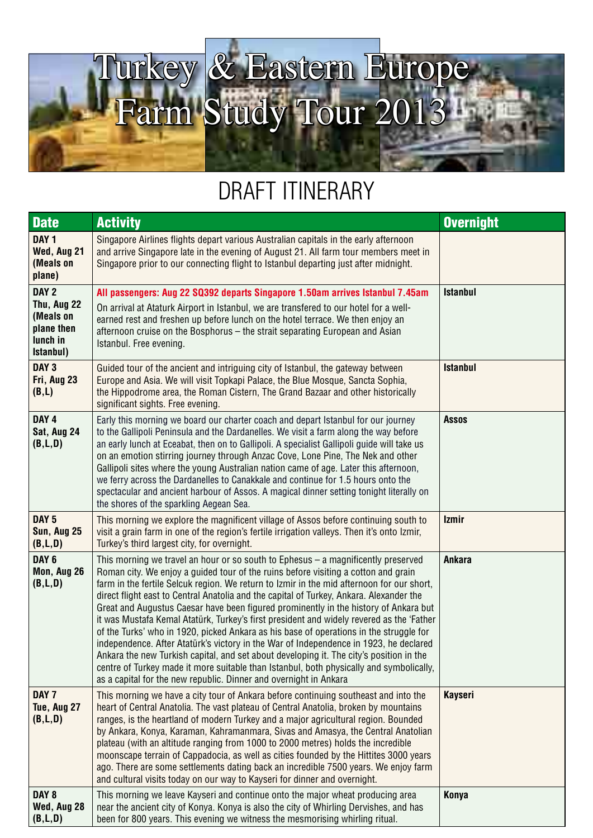

## DRAFT ITINERARY

| <b>Date</b>                                                                         | <b>Activity</b>                                                                                                                                                                                                                                                                                                                                                                                                                                                                                                                                                                                                                                                                                                                                                                                                                                                                                                                                                                                     | <b>Overnight</b> |
|-------------------------------------------------------------------------------------|-----------------------------------------------------------------------------------------------------------------------------------------------------------------------------------------------------------------------------------------------------------------------------------------------------------------------------------------------------------------------------------------------------------------------------------------------------------------------------------------------------------------------------------------------------------------------------------------------------------------------------------------------------------------------------------------------------------------------------------------------------------------------------------------------------------------------------------------------------------------------------------------------------------------------------------------------------------------------------------------------------|------------------|
| DAY <sub>1</sub><br>Wed, Aug 21<br>(Meals on<br>plane)                              | Singapore Airlines flights depart various Australian capitals in the early afternoon<br>and arrive Singapore late in the evening of August 21. All farm tour members meet in<br>Singapore prior to our connecting flight to Istanbul departing just after midnight.                                                                                                                                                                                                                                                                                                                                                                                                                                                                                                                                                                                                                                                                                                                                 |                  |
| DAY <sub>2</sub><br>Thu, Aug 22<br>(Meals on<br>plane then<br>lunch in<br>Istanbul) | All passengers: Aug 22 SQ392 departs Singapore 1.50am arrives Istanbul 7.45am<br>On arrival at Ataturk Airport in Istanbul, we are transfered to our hotel for a well-<br>earned rest and freshen up before lunch on the hotel terrace. We then enjoy an<br>afternoon cruise on the Bosphorus – the strait separating European and Asian<br>Istanbul. Free evening.                                                                                                                                                                                                                                                                                                                                                                                                                                                                                                                                                                                                                                 | <b>Istanbul</b>  |
| DAY <sub>3</sub><br>Fri, Aug 23<br>(B,L)                                            | Guided tour of the ancient and intriguing city of Istanbul, the gateway between<br>Europe and Asia. We will visit Topkapi Palace, the Blue Mosque, Sancta Sophia,<br>the Hippodrome area, the Roman Cistern, The Grand Bazaar and other historically<br>significant sights. Free evening.                                                                                                                                                                                                                                                                                                                                                                                                                                                                                                                                                                                                                                                                                                           | <b>Istanbul</b>  |
| DAY <sub>4</sub><br>Sat, Aug 24<br>(B,L,D)                                          | Early this morning we board our charter coach and depart Istanbul for our journey<br>to the Gallipoli Peninsula and the Dardanelles. We visit a farm along the way before<br>an early lunch at Eceabat, then on to Gallipoli. A specialist Gallipoli guide will take us<br>on an emotion stirring journey through Anzac Cove, Lone Pine, The Nek and other<br>Gallipoli sites where the young Australian nation came of age. Later this afternoon,<br>we ferry across the Dardanelles to Canakkale and continue for 1.5 hours onto the<br>spectacular and ancient harbour of Assos. A magical dinner setting tonight literally on<br>the shores of the sparkling Aegean Sea.                                                                                                                                                                                                                                                                                                                        | <b>Assos</b>     |
| DAY <sub>5</sub><br>Sun, Aug 25<br>(B,L,D)                                          | This morning we explore the magnificent village of Assos before continuing south to<br>visit a grain farm in one of the region's fertile irrigation valleys. Then it's onto Izmir,<br>Turkey's third largest city, for overnight.                                                                                                                                                                                                                                                                                                                                                                                                                                                                                                                                                                                                                                                                                                                                                                   | <b>Izmir</b>     |
| DAY <sub>6</sub><br>Mon, Aug 26<br>(B,L,D)                                          | This morning we travel an hour or so south to Ephesus $-$ a magnificently preserved<br>Roman city. We enjoy a guided tour of the ruins before visiting a cotton and grain<br>farm in the fertile Selcuk region. We return to Izmir in the mid afternoon for our short,<br>direct flight east to Central Anatolia and the capital of Turkey, Ankara. Alexander the<br>Great and Augustus Caesar have been figured prominently in the history of Ankara but<br>it was Mustafa Kemal Atatürk, Turkey's first president and widely revered as the 'Father<br>of the Turks' who in 1920, picked Ankara as his base of operations in the struggle for<br>independence. After Atatürk's victory in the War of Independence in 1923, he declared<br>Ankara the new Turkish capital, and set about developing it. The city's position in the<br>centre of Turkey made it more suitable than Istanbul, both physically and symbolically,<br>as a capital for the new republic. Dinner and overnight in Ankara | Ankara           |
| DAY 7<br>Tue, Aug 27<br>(B,L,D)                                                     | This morning we have a city tour of Ankara before continuing southeast and into the<br>heart of Central Anatolia. The vast plateau of Central Anatolia, broken by mountains<br>ranges, is the heartland of modern Turkey and a major agricultural region. Bounded<br>by Ankara, Konya, Karaman, Kahramanmara, Sivas and Amasya, the Central Anatolian<br>plateau (with an altitude ranging from 1000 to 2000 metres) holds the incredible<br>moonscape terrain of Cappadocia, as well as cities founded by the Hittites 3000 years<br>ago. There are some settlements dating back an incredible 7500 years. We enjoy farm<br>and cultural visits today on our way to Kayseri for dinner and overnight.                                                                                                                                                                                                                                                                                              | <b>Kayseri</b>   |
| DAY 8<br>Wed, Aug 28<br>(B, L, D)                                                   | This morning we leave Kayseri and continue onto the major wheat producing area<br>near the ancient city of Konya. Konya is also the city of Whirling Dervishes, and has<br>been for 800 years. This evening we witness the mesmorising whirling ritual.                                                                                                                                                                                                                                                                                                                                                                                                                                                                                                                                                                                                                                                                                                                                             | Konya            |